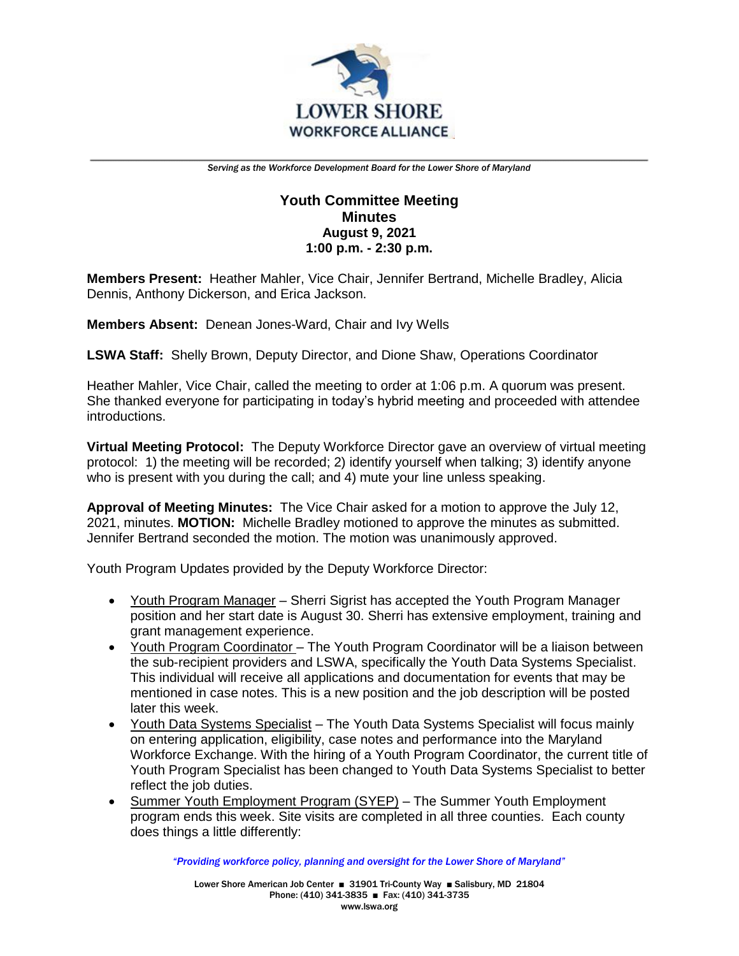

## **Youth Committee Meeting Minutes August 9, 2021 1:00 p.m. - 2:30 p.m.**

**Members Present:** Heather Mahler, Vice Chair, Jennifer Bertrand, Michelle Bradley, Alicia Dennis, Anthony Dickerson, and Erica Jackson.

**Members Absent:** Denean Jones-Ward, Chair and Ivy Wells

**LSWA Staff:** Shelly Brown, Deputy Director, and Dione Shaw, Operations Coordinator

Heather Mahler, Vice Chair, called the meeting to order at 1:06 p.m. A quorum was present. She thanked everyone for participating in today's hybrid meeting and proceeded with attendee introductions.

**Virtual Meeting Protocol:** The Deputy Workforce Director gave an overview of virtual meeting protocol: 1) the meeting will be recorded; 2) identify yourself when talking; 3) identify anyone who is present with you during the call; and 4) mute your line unless speaking.

**Approval of Meeting Minutes:** The Vice Chair asked for a motion to approve the July 12, 2021, minutes. **MOTION:** Michelle Bradley motioned to approve the minutes as submitted. Jennifer Bertrand seconded the motion. The motion was unanimously approved.

Youth Program Updates provided by the Deputy Workforce Director:

- Youth Program Manager Sherri Sigrist has accepted the Youth Program Manager position and her start date is August 30. Sherri has extensive employment, training and grant management experience.
- Youth Program Coordinator The Youth Program Coordinator will be a liaison between the sub-recipient providers and LSWA, specifically the Youth Data Systems Specialist. This individual will receive all applications and documentation for events that may be mentioned in case notes. This is a new position and the job description will be posted later this week.
- Youth Data Systems Specialist The Youth Data Systems Specialist will focus mainly on entering application, eligibility, case notes and performance into the Maryland Workforce Exchange. With the hiring of a Youth Program Coordinator, the current title of Youth Program Specialist has been changed to Youth Data Systems Specialist to better reflect the job duties.
- Summer Youth Employment Program (SYEP) The Summer Youth Employment program ends this week. Site visits are completed in all three counties. Each county does things a little differently: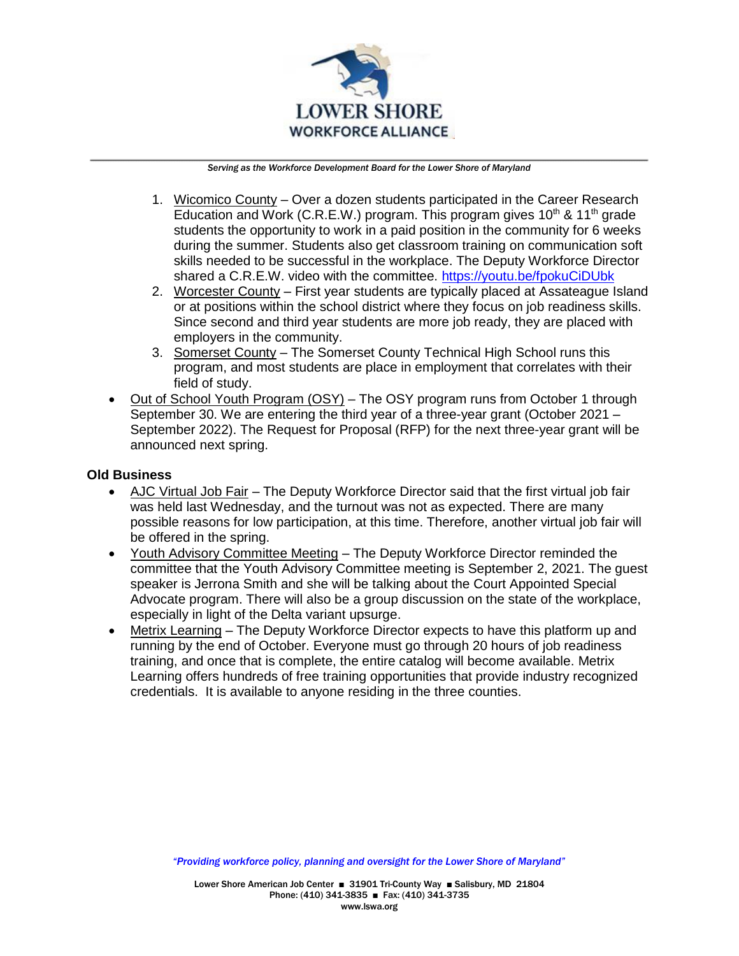

- 1. Wicomico County Over a dozen students participated in the Career Research Education and Work (C.R.E.W.) program. This program gives  $10<sup>th</sup>$  &  $11<sup>th</sup>$  grade students the opportunity to work in a paid position in the community for 6 weeks during the summer. Students also get classroom training on communication soft skills needed to be successful in the workplace. The Deputy Workforce Director shared a C.R.E.W. video with the committee.<https://youtu.be/fpokuCiDUbk>
- 2. Worcester County First year students are typically placed at Assateague Island or at positions within the school district where they focus on job readiness skills. Since second and third year students are more job ready, they are placed with employers in the community.
- 3. Somerset County The Somerset County Technical High School runs this program, and most students are place in employment that correlates with their field of study.
- Out of School Youth Program (OSY) The OSY program runs from October 1 through September 30. We are entering the third year of a three-year grant (October 2021 – September 2022). The Request for Proposal (RFP) for the next three-year grant will be announced next spring.

## **Old Business**

- AJC Virtual Job Fair The Deputy Workforce Director said that the first virtual job fair was held last Wednesday, and the turnout was not as expected. There are many possible reasons for low participation, at this time. Therefore, another virtual job fair will be offered in the spring.
- Youth Advisory Committee Meeting The Deputy Workforce Director reminded the committee that the Youth Advisory Committee meeting is September 2, 2021. The guest speaker is Jerrona Smith and she will be talking about the Court Appointed Special Advocate program. There will also be a group discussion on the state of the workplace, especially in light of the Delta variant upsurge.
- Metrix Learning The Deputy Workforce Director expects to have this platform up and running by the end of October. Everyone must go through 20 hours of job readiness training, and once that is complete, the entire catalog will become available. Metrix Learning offers hundreds of free training opportunities that provide industry recognized credentials. It is available to anyone residing in the three counties.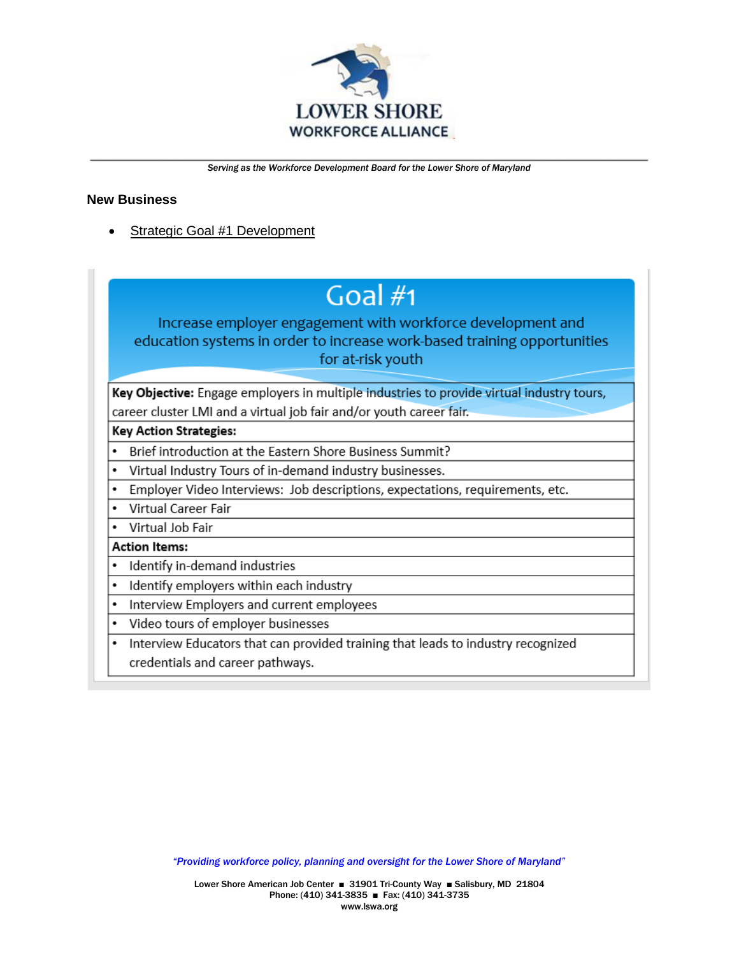

## **New Business**

Strategic Goal #1 Development

# Goal  $#1$

Increase employer engagement with workforce development and education systems in order to increase work-based training opportunities for at-risk youth

Key Objective: Engage employers in multiple industries to provide virtual industry tours, career cluster LMI and a virtual job fair and/or youth career fair.

### **Key Action Strategies:**

- Brief introduction at the Eastern Shore Business Summit?
- Virtual Industry Tours of in-demand industry businesses.  $\bullet$
- Employer Video Interviews: Job descriptions, expectations, requirements, etc.
- Virtual Career Fair
- Virtual Job Fair

### **Action Items:**

- Identify in-demand industries
- Identify employers within each industry
- Interview Employers and current employees
- Video tours of employer businesses
- Interview Educators that can provided training that leads to industry recognized credentials and career pathways.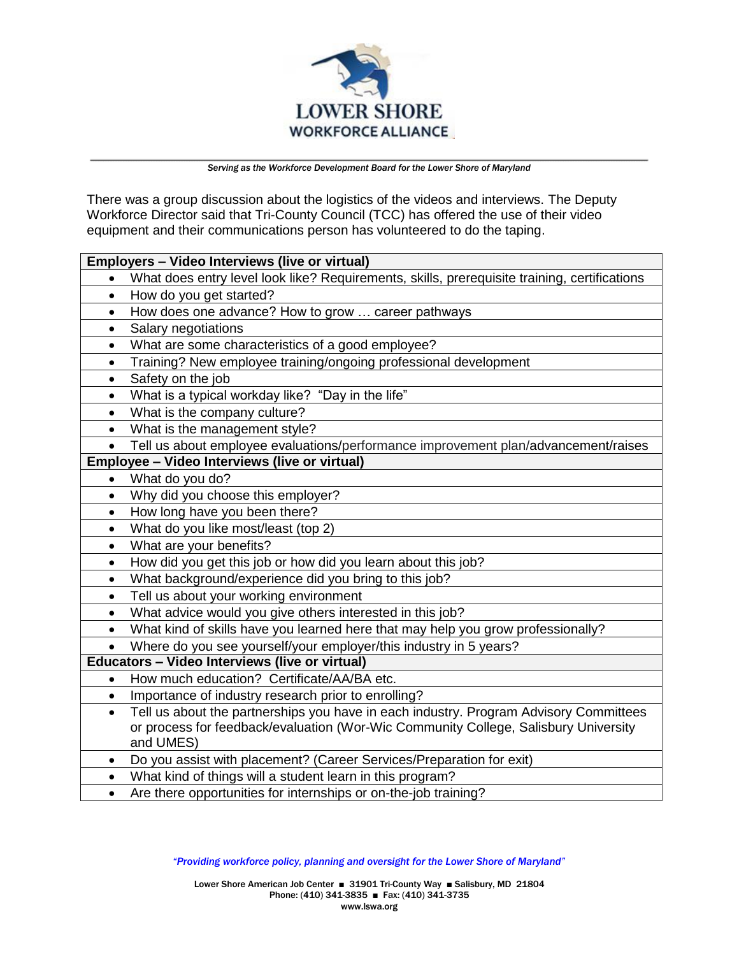

There was a group discussion about the logistics of the videos and interviews. The Deputy Workforce Director said that Tri-County Council (TCC) has offered the use of their video equipment and their communications person has volunteered to do the taping.

| Employers - Video Interviews (live or virtual) |                                                                                                  |
|------------------------------------------------|--------------------------------------------------------------------------------------------------|
|                                                | What does entry level look like? Requirements, skills, prerequisite training, certifications     |
| $\bullet$                                      | How do you get started?                                                                          |
| $\bullet$                                      | How does one advance? How to grow  career pathways                                               |
| $\bullet$                                      | Salary negotiations                                                                              |
| $\bullet$                                      | What are some characteristics of a good employee?                                                |
| $\bullet$                                      | Training? New employee training/ongoing professional development                                 |
| $\bullet$                                      | Safety on the job                                                                                |
| $\bullet$                                      | What is a typical workday like? "Day in the life"                                                |
| $\bullet$                                      | What is the company culture?                                                                     |
| $\bullet$                                      | What is the management style?                                                                    |
| $\bullet$                                      | Tell us about employee evaluations/performance improvement plan/advancement/raises               |
| Employee - Video Interviews (live or virtual)  |                                                                                                  |
| $\bullet$                                      | What do you do?                                                                                  |
| $\bullet$                                      | Why did you choose this employer?                                                                |
| $\bullet$                                      | How long have you been there?                                                                    |
| $\bullet$                                      | What do you like most/least (top 2)                                                              |
| $\bullet$                                      | What are your benefits?                                                                          |
| $\bullet$                                      | How did you get this job or how did you learn about this job?                                    |
| $\bullet$                                      | What background/experience did you bring to this job?                                            |
| $\bullet$                                      | Tell us about your working environment                                                           |
| $\bullet$                                      | What advice would you give others interested in this job?                                        |
| $\bullet$                                      | What kind of skills have you learned here that may help you grow professionally?                 |
| $\bullet$                                      | Where do you see yourself/your employer/this industry in 5 years?                                |
| Educators - Video Interviews (live or virtual) |                                                                                                  |
| $\bullet$                                      | How much education? Certificate/AA/BA etc.                                                       |
| $\bullet$                                      | Importance of industry research prior to enrolling?                                              |
| $\bullet$                                      | Tell us about the partnerships you have in each industry. Program Advisory Committees            |
|                                                | or process for feedback/evaluation (Wor-Wic Community College, Salisbury University<br>and UMES) |
| ٠                                              | Do you assist with placement? (Career Services/Preparation for exit)                             |
| $\bullet$                                      | What kind of things will a student learn in this program?                                        |
| $\bullet$                                      | Are there opportunities for internships or on-the-job training?                                  |
|                                                |                                                                                                  |